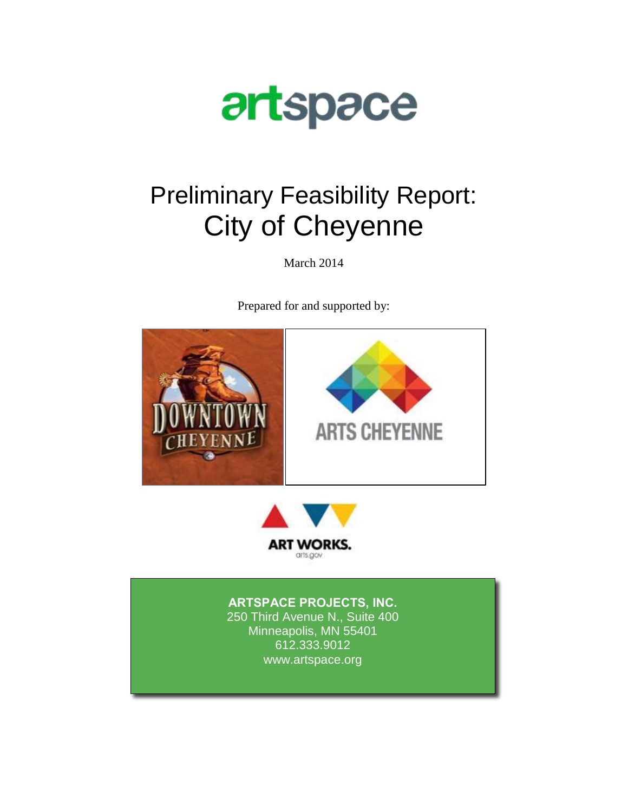

# Preliminary Feasibility Report: City of Cheyenne

March 2014

Prepared for and supported by:





## **ARTSPACE PROJECTS, INC.**

250 Third Avenue N., Suite 400 Minneapolis, MN 55401 612.333.9012 www.artspace.org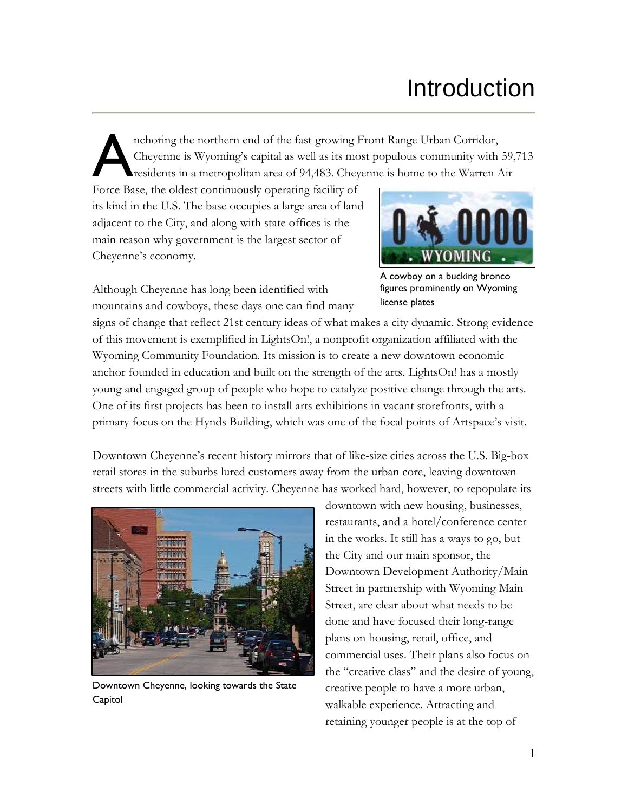# Introduction

nchoring the northern end of the fast-growing Front Range Urban Corridor, Cheyenne is Wyoming's capital as well as its most populous community with 59,713 residents in a metropolitan area of 94,483. Cheyenne is home to the Warren Air A

Force Base, the oldest continuously operating facility of its kind in the U.S. The base occupies a large area of land adjacent to the City, and along with state offices is the main reason why government is the largest sector of Cheyenne's economy.



Although Cheyenne has long been identified with mountains and cowboys, these days one can find many

A cowboy on a bucking bronco figures prominently on Wyoming license plates

signs of change that reflect 21st century ideas of what makes a city dynamic. Strong evidence of this movement is exemplified in LightsOn!, a nonprofit organization affiliated with the Wyoming Community Foundation. Its mission is to create a new downtown economic anchor founded in education and built on the strength of the arts. LightsOn! has a mostly young and engaged group of people who hope to catalyze positive change through the arts. One of its first projects has been to install arts exhibitions in vacant storefronts, with a primary focus on the Hynds Building, which was one of the focal points of Artspace's visit.

Downtown Cheyenne's recent history mirrors that of like-size cities across the U.S. Big-box retail stores in the suburbs lured customers away from the urban core, leaving downtown streets with little commercial activity. Cheyenne has worked hard, however, to repopulate its



Downtown Cheyenne, looking towards the State Capitol

downtown with new housing, businesses, restaurants, and a hotel/conference center in the works. It still has a ways to go, but the City and our main sponsor, the Downtown Development Authority/Main Street in partnership with Wyoming Main Street, are clear about what needs to be done and have focused their long-range plans on housing, retail, office, and commercial uses. Their plans also focus on the "creative class" and the desire of young, creative people to have a more urban, walkable experience. Attracting and retaining younger people is at the top of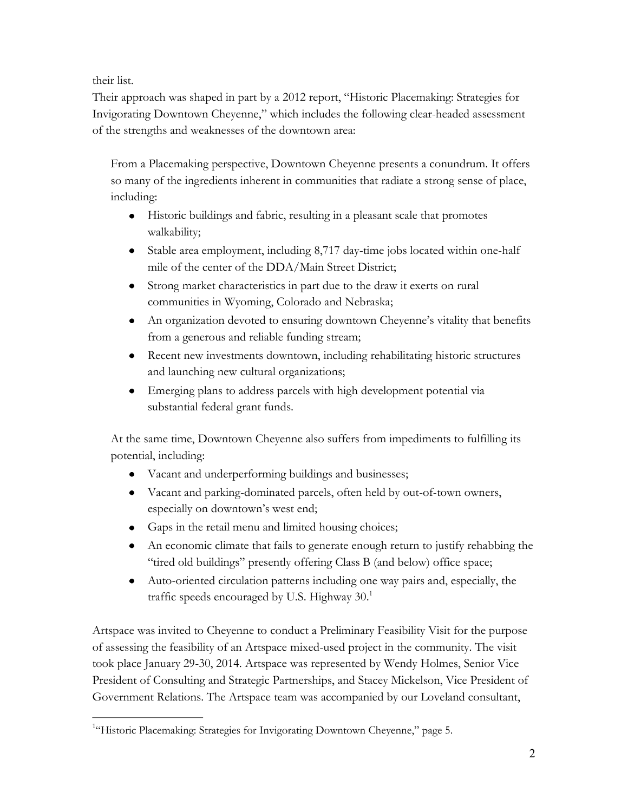their list.

Their approach was shaped in part by a 2012 report, "Historic Placemaking: Strategies for Invigorating Downtown Cheyenne," which includes the following clear-headed assessment of the strengths and weaknesses of the downtown area:

From a Placemaking perspective, Downtown Cheyenne presents a conundrum. It offers so many of the ingredients inherent in communities that radiate a strong sense of place, including:

- Historic buildings and fabric, resulting in a pleasant scale that promotes walkability;
- Stable area employment, including 8,717 day-time jobs located within one-half mile of the center of the DDA/Main Street District;
- Strong market characteristics in part due to the draw it exerts on rural communities in Wyoming, Colorado and Nebraska;
- An organization devoted to ensuring downtown Cheyenne's vitality that benefits from a generous and reliable funding stream;
- Recent new investments downtown, including rehabilitating historic structures and launching new cultural organizations;
- Emerging plans to address parcels with high development potential via substantial federal grant funds.

At the same time, Downtown Cheyenne also suffers from impediments to fulfilling its potential, including:

- Vacant and underperforming buildings and businesses;
- Vacant and parking-dominated parcels, often held by out-of-town owners, especially on downtown's west end;
- Gaps in the retail menu and limited housing choices;
- An economic climate that fails to generate enough return to justify rehabbing the "tired old buildings" presently offering Class B (and below) office space;
- Auto-oriented circulation patterns including one way pairs and, especially, the traffic speeds encouraged by U.S. Highway 30.1

Artspace was invited to Cheyenne to conduct a Preliminary Feasibility Visit for the purpose of assessing the feasibility of an Artspace mixed-used project in the community. The visit took place January 29-30, 2014. Artspace was represented by Wendy Holmes, Senior Vice President of Consulting and Strategic Partnerships, and Stacey Mickelson, Vice President of Government Relations. The Artspace team was accompanied by our Loveland consultant,

<sup>&</sup>lt;sup>1</sup>"Historic Placemaking: Strategies for Invigorating Downtown Cheyenne," page 5.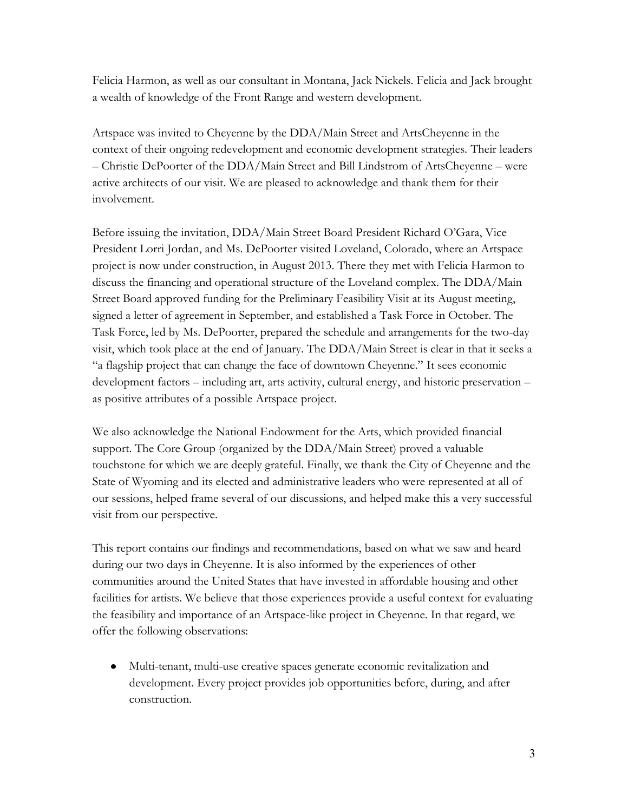Felicia Harmon, as well as our consultant in Montana, Jack Nickels. Felicia and Jack brought a wealth of knowledge of the Front Range and western development.

Artspace was invited to Cheyenne by the DDA/Main Street and ArtsCheyenne in the context of their ongoing redevelopment and economic development strategies. Their leaders – Christie DePoorter of the DDA/Main Street and Bill Lindstrom of ArtsCheyenne – were active architects of our visit. We are pleased to acknowledge and thank them for their involvement.

Before issuing the invitation, DDA/Main Street Board President Richard O'Gara, Vice President Lorri Jordan, and Ms. DePoorter visited Loveland, Colorado, where an Artspace project is now under construction, in August 2013. There they met with Felicia Harmon to discuss the financing and operational structure of the Loveland complex. The DDA/Main Street Board approved funding for the Preliminary Feasibility Visit at its August meeting, signed a letter of agreement in September, and established a Task Force in October. The Task Force, led by Ms. DePoorter, prepared the schedule and arrangements for the two-day visit, which took place at the end of January. The DDA/Main Street is clear in that it seeks a "a flagship project that can change the face of downtown Cheyenne." It sees economic development factors – including art, arts activity, cultural energy, and historic preservation – as positive attributes of a possible Artspace project.

We also acknowledge the National Endowment for the Arts, which provided financial support. The Core Group (organized by the DDA/Main Street) proved a valuable touchstone for which we are deeply grateful. Finally, we thank the City of Cheyenne and the State of Wyoming and its elected and administrative leaders who were represented at all of our sessions, helped frame several of our discussions, and helped make this a very successful visit from our perspective.

This report contains our findings and recommendations, based on what we saw and heard during our two days in Cheyenne. It is also informed by the experiences of other communities around the United States that have invested in affordable housing and other facilities for artists. We believe that those experiences provide a useful context for evaluating the feasibility and importance of an Artspace-like project in Cheyenne. In that regard, we offer the following observations:

Multi-tenant, multi-use creative spaces generate economic revitalization and development. Every project provides job opportunities before, during, and after construction.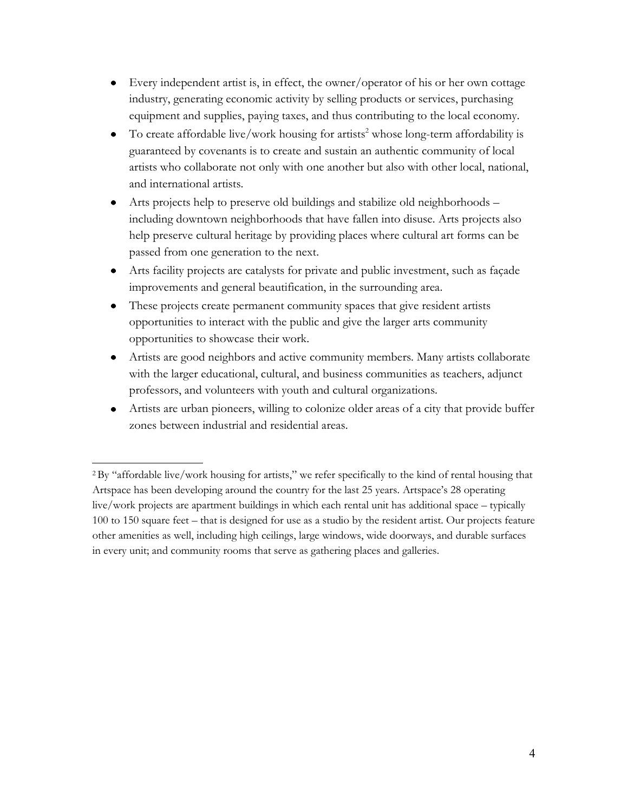- Every independent artist is, in effect, the owner/operator of his or her own cottage industry, generating economic activity by selling products or services, purchasing equipment and supplies, paying taxes, and thus contributing to the local economy.
- $\bullet$  To create affordable live/work housing for artists<sup>2</sup> whose long-term affordability is guaranteed by covenants is to create and sustain an authentic community of local artists who collaborate not only with one another but also with other local, national, and international artists.
- Arts projects help to preserve old buildings and stabilize old neighborhoods including downtown neighborhoods that have fallen into disuse. Arts projects also help preserve cultural heritage by providing places where cultural art forms can be passed from one generation to the next.
- Arts facility projects are catalysts for private and public investment, such as façade improvements and general beautification, in the surrounding area.
- These projects create permanent community spaces that give resident artists opportunities to interact with the public and give the larger arts community opportunities to showcase their work.
- Artists are good neighbors and active community members. Many artists collaborate with the larger educational, cultural, and business communities as teachers, adjunct professors, and volunteers with youth and cultural organizations.
- Artists are urban pioneers, willing to colonize older areas of a city that provide buffer zones between industrial and residential areas.

<sup>2</sup>By "affordable live/work housing for artists," we refer specifically to the kind of rental housing that Artspace has been developing around the country for the last 25 years. Artspace's 28 operating live/work projects are apartment buildings in which each rental unit has additional space – typically 100 to 150 square feet – that is designed for use as a studio by the resident artist. Our projects feature other amenities as well, including high ceilings, large windows, wide doorways, and durable surfaces in every unit; and community rooms that serve as gathering places and galleries.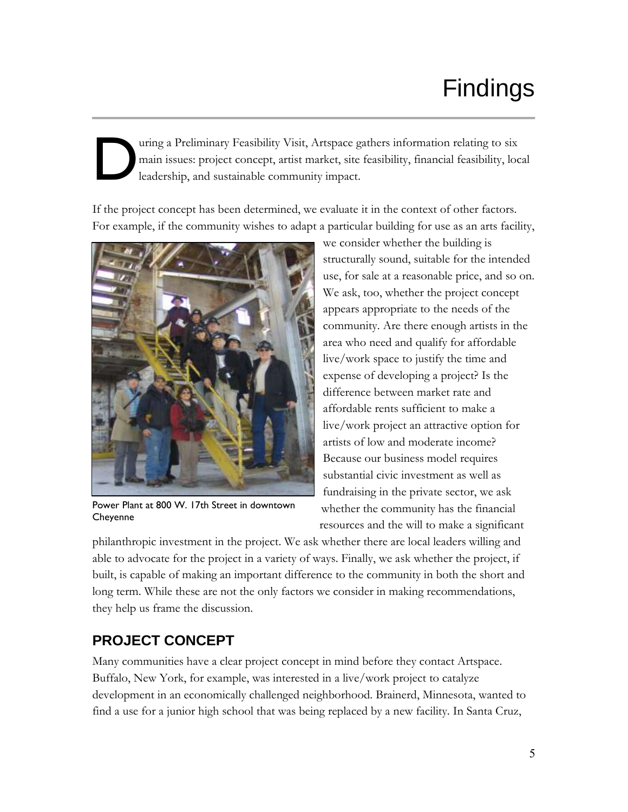# Findings

### uring a Preliminary Feasibility Visit, Artspace gathers information relating to six main issues: project concept, artist market, site feasibility, financial feasibility, local leadership, and sustainable community impact. D

If the project concept has been determined, we evaluate it in the context of other factors. For example, if the community wishes to adapt a particular building for use as an arts facility,



Power Plant at 800 W. 17th Street in downtown **Chevenne** 

we consider whether the building is structurally sound, suitable for the intended use, for sale at a reasonable price, and so on. We ask, too, whether the project concept appears appropriate to the needs of the community. Are there enough artists in the area who need and qualify for affordable live/work space to justify the time and expense of developing a project? Is the difference between market rate and affordable rents sufficient to make a live/work project an attractive option for artists of low and moderate income? Because our business model requires substantial civic investment as well as fundraising in the private sector, we ask whether the community has the financial resources and the will to make a significant

philanthropic investment in the project. We ask whether there are local leaders willing and able to advocate for the project in a variety of ways. Finally, we ask whether the project, if built, is capable of making an important difference to the community in both the short and long term. While these are not the only factors we consider in making recommendations, they help us frame the discussion.

# **PROJECT CONCEPT**

Many communities have a clear project concept in mind before they contact Artspace. Buffalo, New York, for example, was interested in a live/work project to catalyze development in an economically challenged neighborhood. Brainerd, Minnesota, wanted to find a use for a junior high school that was being replaced by a new facility. In Santa Cruz,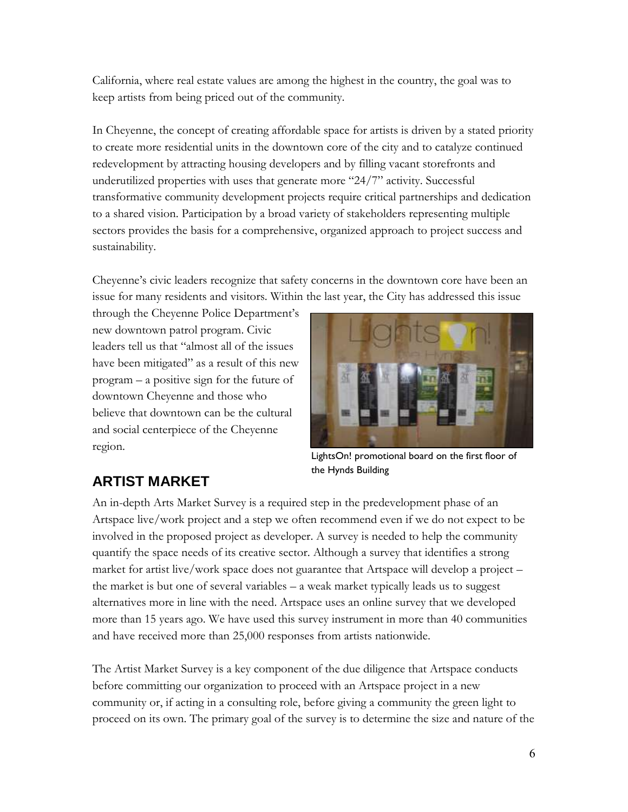California, where real estate values are among the highest in the country, the goal was to keep artists from being priced out of the community.

In Cheyenne, the concept of creating affordable space for artists is driven by a stated priority to create more residential units in the downtown core of the city and to catalyze continued redevelopment by attracting housing developers and by filling vacant storefronts and underutilized properties with uses that generate more "24/7" activity. Successful transformative community development projects require critical partnerships and dedication to a shared vision. Participation by a broad variety of stakeholders representing multiple sectors provides the basis for a comprehensive, organized approach to project success and sustainability.

Cheyenne's civic leaders recognize that safety concerns in the downtown core have been an issue for many residents and visitors. Within the last year, the City has addressed this issue

through the Cheyenne Police Department's new downtown patrol program. Civic leaders tell us that "almost all of the issues have been mitigated" as a result of this new program – a positive sign for the future of downtown Cheyenne and those who believe that downtown can be the cultural and social centerpiece of the Cheyenne region.



LightsOn! promotional board on the first floor of the Hynds Building

# **ARTIST MARKET**

An in-depth Arts Market Survey is a required step in the predevelopment phase of an Artspace live/work project and a step we often recommend even if we do not expect to be involved in the proposed project as developer. A survey is needed to help the community quantify the space needs of its creative sector. Although a survey that identifies a strong market for artist live/work space does not guarantee that Artspace will develop a project – the market is but one of several variables – a weak market typically leads us to suggest alternatives more in line with the need. Artspace uses an online survey that we developed more than 15 years ago. We have used this survey instrument in more than 40 communities and have received more than 25,000 responses from artists nationwide.

The Artist Market Survey is a key component of the due diligence that Artspace conducts before committing our organization to proceed with an Artspace project in a new community or, if acting in a consulting role, before giving a community the green light to proceed on its own. The primary goal of the survey is to determine the size and nature of the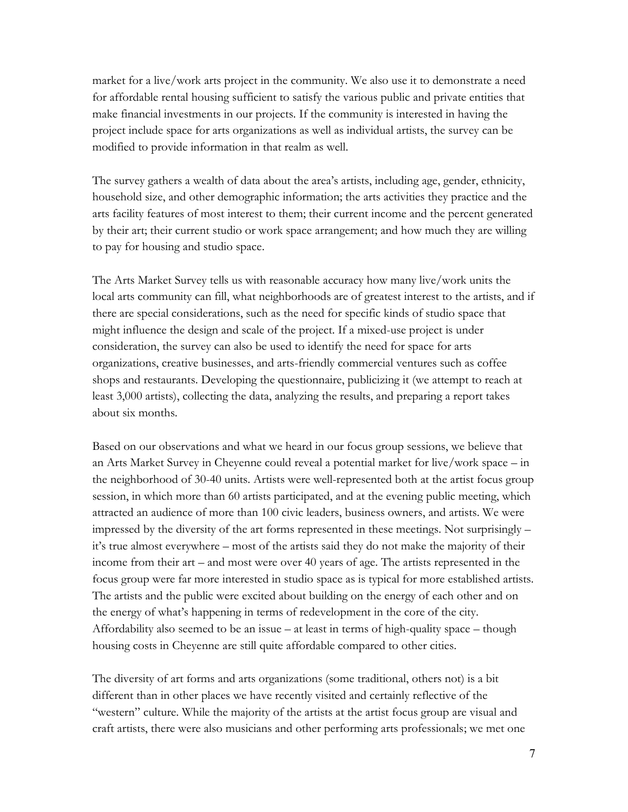market for a live/work arts project in the community. We also use it to demonstrate a need for affordable rental housing sufficient to satisfy the various public and private entities that make financial investments in our projects. If the community is interested in having the project include space for arts organizations as well as individual artists, the survey can be modified to provide information in that realm as well.

The survey gathers a wealth of data about the area's artists, including age, gender, ethnicity, household size, and other demographic information; the arts activities they practice and the arts facility features of most interest to them; their current income and the percent generated by their art; their current studio or work space arrangement; and how much they are willing to pay for housing and studio space.

The Arts Market Survey tells us with reasonable accuracy how many live/work units the local arts community can fill, what neighborhoods are of greatest interest to the artists, and if there are special considerations, such as the need for specific kinds of studio space that might influence the design and scale of the project. If a mixed-use project is under consideration, the survey can also be used to identify the need for space for arts organizations, creative businesses, and arts-friendly commercial ventures such as coffee shops and restaurants. Developing the questionnaire, publicizing it (we attempt to reach at least 3,000 artists), collecting the data, analyzing the results, and preparing a report takes about six months.

Based on our observations and what we heard in our focus group sessions, we believe that an Arts Market Survey in Cheyenne could reveal a potential market for live/work space – in the neighborhood of 30-40 units. Artists were well-represented both at the artist focus group session, in which more than 60 artists participated, and at the evening public meeting, which attracted an audience of more than 100 civic leaders, business owners, and artists. We were impressed by the diversity of the art forms represented in these meetings. Not surprisingly – it's true almost everywhere – most of the artists said they do not make the majority of their income from their art – and most were over 40 years of age. The artists represented in the focus group were far more interested in studio space as is typical for more established artists. The artists and the public were excited about building on the energy of each other and on the energy of what's happening in terms of redevelopment in the core of the city. Affordability also seemed to be an issue – at least in terms of high-quality space – though housing costs in Cheyenne are still quite affordable compared to other cities.

The diversity of art forms and arts organizations (some traditional, others not) is a bit different than in other places we have recently visited and certainly reflective of the "western" culture. While the majority of the artists at the artist focus group are visual and craft artists, there were also musicians and other performing arts professionals; we met one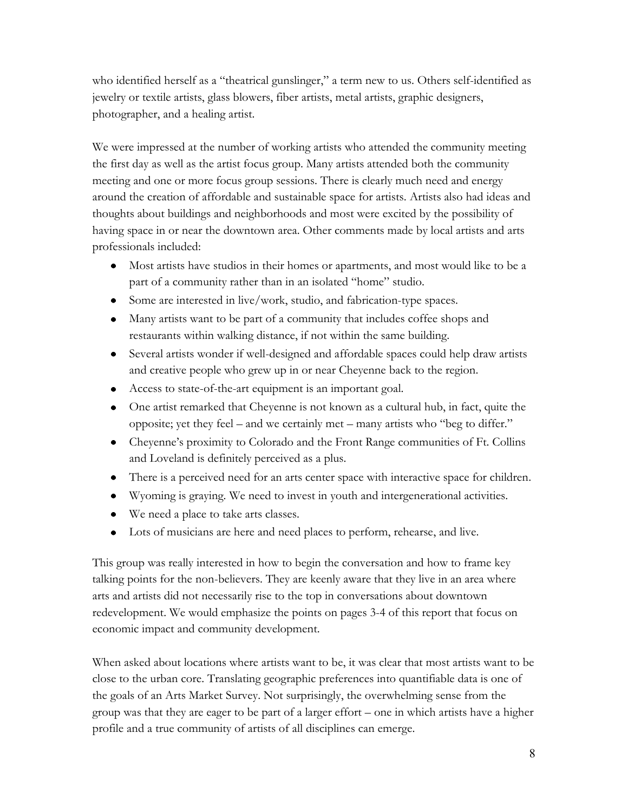who identified herself as a "theatrical gunslinger," a term new to us. Others self-identified as jewelry or textile artists, glass blowers, fiber artists, metal artists, graphic designers, photographer, and a healing artist.

We were impressed at the number of working artists who attended the community meeting the first day as well as the artist focus group. Many artists attended both the community meeting and one or more focus group sessions. There is clearly much need and energy around the creation of affordable and sustainable space for artists. Artists also had ideas and thoughts about buildings and neighborhoods and most were excited by the possibility of having space in or near the downtown area. Other comments made by local artists and arts professionals included:

- Most artists have studios in their homes or apartments, and most would like to be a part of a community rather than in an isolated "home" studio.
- Some are interested in live/work, studio, and fabrication-type spaces.
- Many artists want to be part of a community that includes coffee shops and restaurants within walking distance, if not within the same building.
- Several artists wonder if well-designed and affordable spaces could help draw artists and creative people who grew up in or near Cheyenne back to the region.
- Access to state-of-the-art equipment is an important goal.
- One artist remarked that Cheyenne is not known as a cultural hub, in fact, quite the opposite; yet they feel – and we certainly met – many artists who "beg to differ."
- Cheyenne's proximity to Colorado and the Front Range communities of Ft. Collins and Loveland is definitely perceived as a plus.
- There is a perceived need for an arts center space with interactive space for children.
- Wyoming is graying. We need to invest in youth and intergenerational activities.
- We need a place to take arts classes.
- Lots of musicians are here and need places to perform, rehearse, and live.

This group was really interested in how to begin the conversation and how to frame key talking points for the non-believers. They are keenly aware that they live in an area where arts and artists did not necessarily rise to the top in conversations about downtown redevelopment. We would emphasize the points on pages 3-4 of this report that focus on economic impact and community development.

When asked about locations where artists want to be, it was clear that most artists want to be close to the urban core. Translating geographic preferences into quantifiable data is one of the goals of an Arts Market Survey. Not surprisingly, the overwhelming sense from the group was that they are eager to be part of a larger effort – one in which artists have a higher profile and a true community of artists of all disciplines can emerge.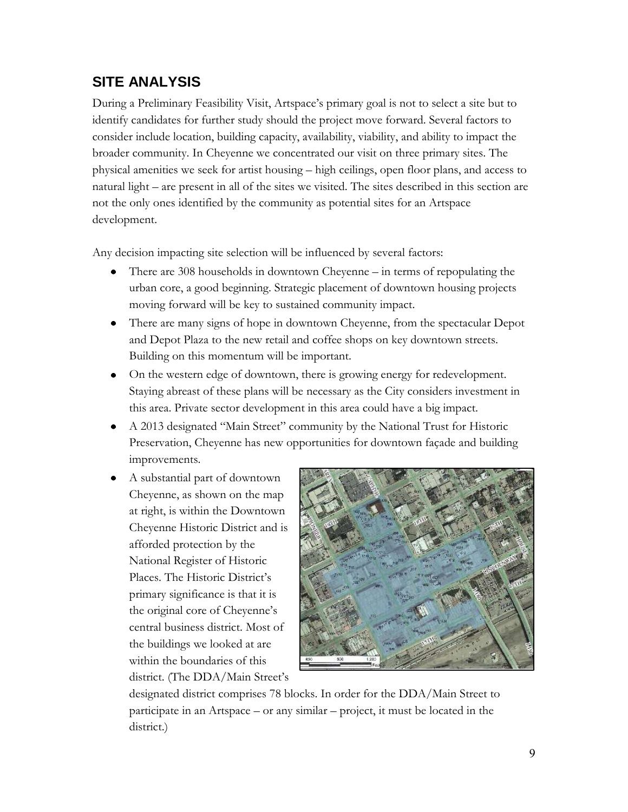# **SITE ANALYSIS**

During a Preliminary Feasibility Visit, Artspace's primary goal is not to select a site but to identify candidates for further study should the project move forward. Several factors to consider include location, building capacity, availability, viability, and ability to impact the broader community. In Cheyenne we concentrated our visit on three primary sites. The physical amenities we seek for artist housing – high ceilings, open floor plans, and access to natural light – are present in all of the sites we visited. The sites described in this section are not the only ones identified by the community as potential sites for an Artspace development.

Any decision impacting site selection will be influenced by several factors:

- There are 308 households in downtown Cheyenne in terms of repopulating the urban core, a good beginning. Strategic placement of downtown housing projects moving forward will be key to sustained community impact.
- There are many signs of hope in downtown Cheyenne, from the spectacular Depot  $\bullet$ and Depot Plaza to the new retail and coffee shops on key downtown streets. Building on this momentum will be important.
- On the western edge of downtown, there is growing energy for redevelopment.  $\bullet$ Staying abreast of these plans will be necessary as the City considers investment in this area. Private sector development in this area could have a big impact.
- A 2013 designated "Main Street" community by the National Trust for Historic  $\bullet$ Preservation, Cheyenne has new opportunities for downtown façade and building improvements.
- A substantial part of downtown Cheyenne, as shown on the map at right, is within the Downtown Cheyenne Historic District and is afforded protection by the National Register of Historic Places. The Historic District's primary significance is that it is the original core of Cheyenne's central business district. Most of the buildings we looked at are within the boundaries of this district. (The DDA/Main Street's



designated district comprises 78 blocks. In order for the DDA/Main Street to participate in an Artspace – or any similar – project, it must be located in the district.)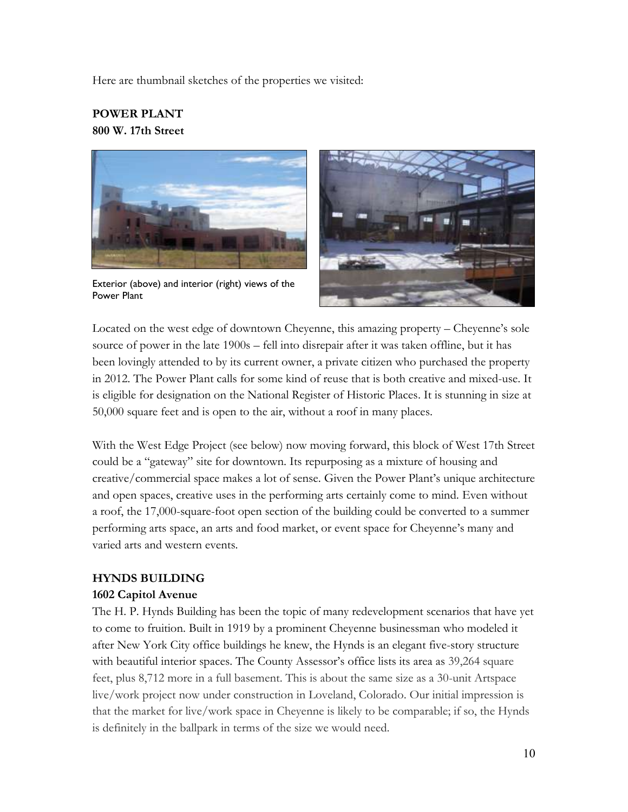Here are thumbnail sketches of the properties we visited:

#### **POWER PLANT 800 W. 17th Street**



Exterior (above) and interior (right) views of the Power Plant



Located on the west edge of downtown Cheyenne, this amazing property – Cheyenne's sole source of power in the late 1900s – fell into disrepair after it was taken offline, but it has been lovingly attended to by its current owner, a private citizen who purchased the property in 2012. The Power Plant calls for some kind of reuse that is both creative and mixed-use. It is eligible for designation on the National Register of Historic Places. It is stunning in size at 50,000 square feet and is open to the air, without a roof in many places.

With the West Edge Project (see below) now moving forward, this block of West 17th Street could be a "gateway" site for downtown. Its repurposing as a mixture of housing and creative/commercial space makes a lot of sense. Given the Power Plant's unique architecture and open spaces, creative uses in the performing arts certainly come to mind. Even without a roof, the 17,000-square-foot open section of the building could be converted to a summer performing arts space, an arts and food market, or event space for Cheyenne's many and varied arts and western events.

#### **HYNDS BUILDING**

#### **1602 Capitol Avenue**

The H. P. Hynds Building has been the topic of many redevelopment scenarios that have yet to come to fruition. Built in 1919 by a prominent Cheyenne businessman who modeled it after New York City office buildings he knew, the Hynds is an elegant five-story structure with beautiful interior spaces. The County Assessor's office lists its area as 39,264 square feet, plus 8,712 more in a full basement. This is about the same size as a 30-unit Artspace live/work project now under construction in Loveland, Colorado. Our initial impression is that the market for live/work space in Cheyenne is likely to be comparable; if so, the Hynds is definitely in the ballpark in terms of the size we would need.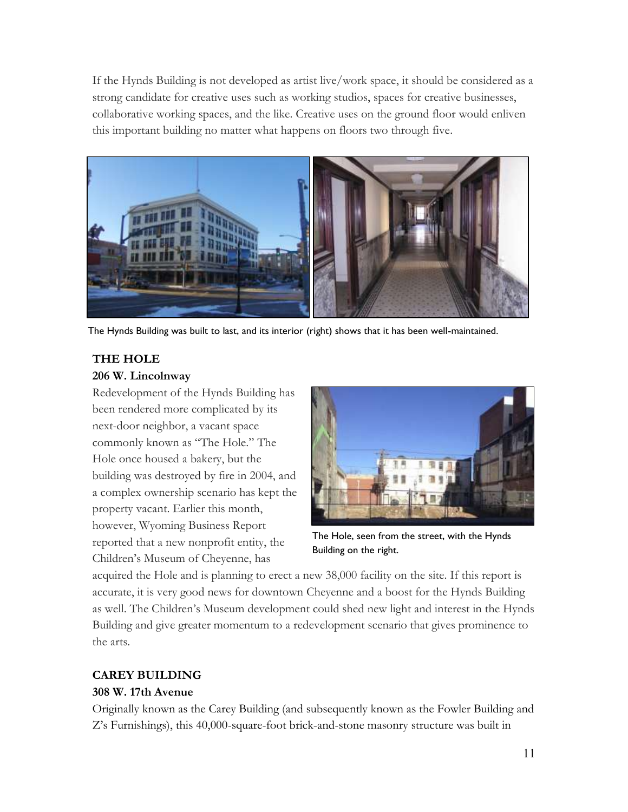If the Hynds Building is not developed as artist live/work space, it should be considered as a strong candidate for creative uses such as working studios, spaces for creative businesses, collaborative working spaces, and the like. Creative uses on the ground floor would enliven this important building no matter what happens on floors two through five.



The Hynds Building was built to last, and its interior (right) shows that it has been well-maintained.

## **THE HOLE**

#### **206 W. Lincolnway**

Redevelopment of the Hynds Building has been rendered more complicated by its next-door neighbor, a vacant space commonly known as "The Hole." The Hole once housed a bakery, but the building was destroyed by fire in 2004, and a complex ownership scenario has kept the property vacant. Earlier this month, however, Wyoming Business Report reported that a new nonprofit entity, the Children's Museum of Cheyenne, has



The Hole, seen from the street, with the Hynds Building on the right.

acquired the Hole and is planning to erect a new 38,000 facility on the site. If this report is accurate, it is very good news for downtown Cheyenne and a boost for the Hynds Building as well. The Children's Museum development could shed new light and interest in the Hynds Building and give greater momentum to a redevelopment scenario that gives prominence to the arts.

## **CAREY BUILDING**

## **308 W. 17th Avenue**

Originally known as the Carey Building (and subsequently known as the Fowler Building and Z's Furnishings), this 40,000-square-foot brick-and-stone masonry structure was built in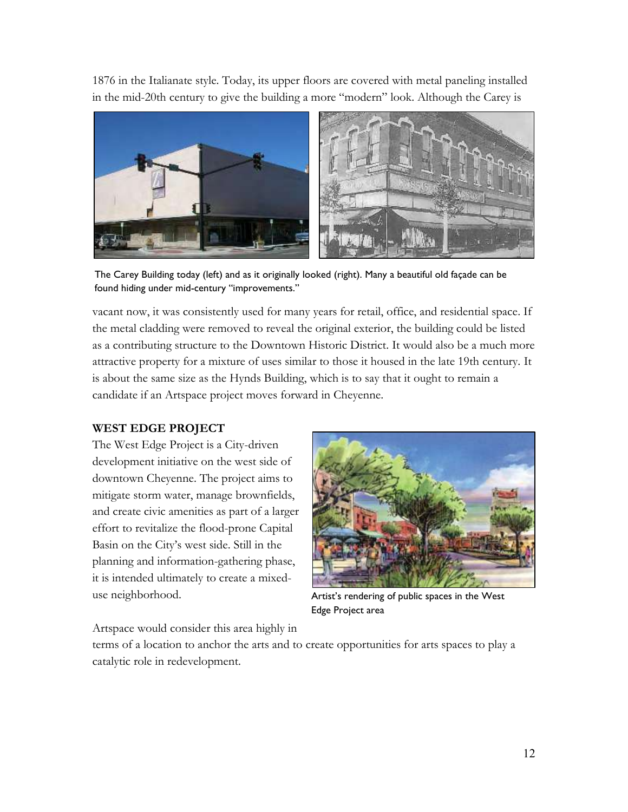1876 in the Italianate style. Today, its upper floors are covered with metal paneling installed in the mid-20th century to give the building a more "modern" look. Although the Carey is



The Carey Building today (left) and as it originally looked (right). Many a beautiful old façade can be found hiding under mid-century "improvements."

vacant now, it was consistently used for many years for retail, office, and residential space. If the metal cladding were removed to reveal the original exterior, the building could be listed as a contributing structure to the Downtown Historic District. It would also be a much more attractive property for a mixture of uses similar to those it housed in the late 19th century. It is about the same size as the Hynds Building, which is to say that it ought to remain a candidate if an Artspace project moves forward in Cheyenne.

#### **WEST EDGE PROJECT**

The West Edge Project is a City-driven development initiative on the west side of downtown Cheyenne. The project aims to mitigate storm water, manage brownfields, and create civic amenities as part of a larger effort to revitalize the flood-prone Capital Basin on the City's west side. Still in the planning and information-gathering phase, it is intended ultimately to create a mixeduse neighborhood.



Artist's rendering of public spaces in the West Edge Project area

Artspace would consider this area highly in

terms of a location to anchor the arts and to create opportunities for arts spaces to play a catalytic role in redevelopment.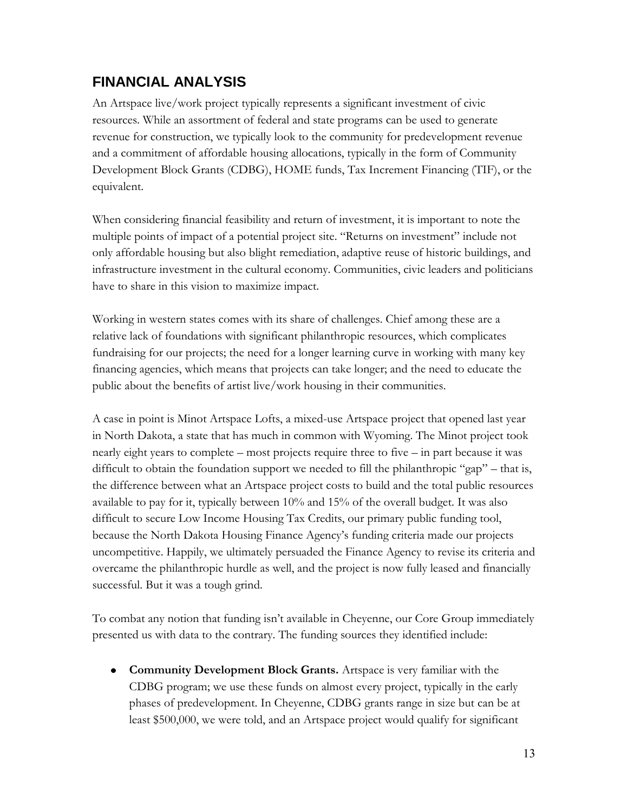# **FINANCIAL ANALYSIS**

An Artspace live/work project typically represents a significant investment of civic resources. While an assortment of federal and state programs can be used to generate revenue for construction, we typically look to the community for predevelopment revenue and a commitment of affordable housing allocations, typically in the form of Community Development Block Grants (CDBG), HOME funds, Tax Increment Financing (TIF), or the equivalent.

When considering financial feasibility and return of investment, it is important to note the multiple points of impact of a potential project site. "Returns on investment" include not only affordable housing but also blight remediation, adaptive reuse of historic buildings, and infrastructure investment in the cultural economy. Communities, civic leaders and politicians have to share in this vision to maximize impact.

Working in western states comes with its share of challenges. Chief among these are a relative lack of foundations with significant philanthropic resources, which complicates fundraising for our projects; the need for a longer learning curve in working with many key financing agencies, which means that projects can take longer; and the need to educate the public about the benefits of artist live/work housing in their communities.

A case in point is Minot Artspace Lofts, a mixed-use Artspace project that opened last year in North Dakota, a state that has much in common with Wyoming. The Minot project took nearly eight years to complete – most projects require three to five – in part because it was difficult to obtain the foundation support we needed to fill the philanthropic "gap" – that is, the difference between what an Artspace project costs to build and the total public resources available to pay for it, typically between 10% and 15% of the overall budget. It was also difficult to secure Low Income Housing Tax Credits, our primary public funding tool, because the North Dakota Housing Finance Agency's funding criteria made our projects uncompetitive. Happily, we ultimately persuaded the Finance Agency to revise its criteria and overcame the philanthropic hurdle as well, and the project is now fully leased and financially successful. But it was a tough grind.

To combat any notion that funding isn't available in Cheyenne, our Core Group immediately presented us with data to the contrary. The funding sources they identified include:

**Community Development Block Grants.** Artspace is very familiar with the CDBG program; we use these funds on almost every project, typically in the early phases of predevelopment. In Cheyenne, CDBG grants range in size but can be at least \$500,000, we were told, and an Artspace project would qualify for significant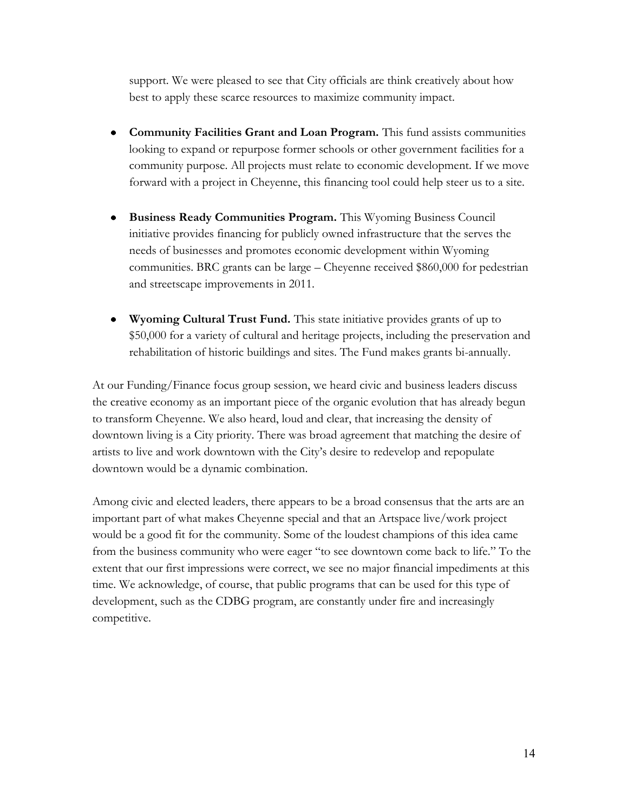support. We were pleased to see that City officials are think creatively about how best to apply these scarce resources to maximize community impact.

- **Community Facilities Grant and Loan Program.** This fund assists communities  $\bullet$ looking to expand or repurpose former schools or other government facilities for a community purpose. All projects must relate to economic development. If we move forward with a project in Cheyenne, this financing tool could help steer us to a site.
- **Business Ready Communities Program.** This Wyoming Business Council  $\bullet$ initiative provides financing for publicly owned infrastructure that the serves the needs of businesses and promotes economic development within Wyoming communities. BRC grants can be large – Cheyenne received \$860,000 for pedestrian and streetscape improvements in 2011.
- **Wyoming Cultural Trust Fund.** This state initiative provides grants of up to \$50,000 for a variety of cultural and heritage projects, including the preservation and rehabilitation of historic buildings and sites. The Fund makes grants bi-annually.

At our Funding/Finance focus group session, we heard civic and business leaders discuss the creative economy as an important piece of the organic evolution that has already begun to transform Cheyenne. We also heard, loud and clear, that increasing the density of downtown living is a City priority. There was broad agreement that matching the desire of artists to live and work downtown with the City's desire to redevelop and repopulate downtown would be a dynamic combination.

Among civic and elected leaders, there appears to be a broad consensus that the arts are an important part of what makes Cheyenne special and that an Artspace live/work project would be a good fit for the community. Some of the loudest champions of this idea came from the business community who were eager "to see downtown come back to life." To the extent that our first impressions were correct, we see no major financial impediments at this time. We acknowledge, of course, that public programs that can be used for this type of development, such as the CDBG program, are constantly under fire and increasingly competitive.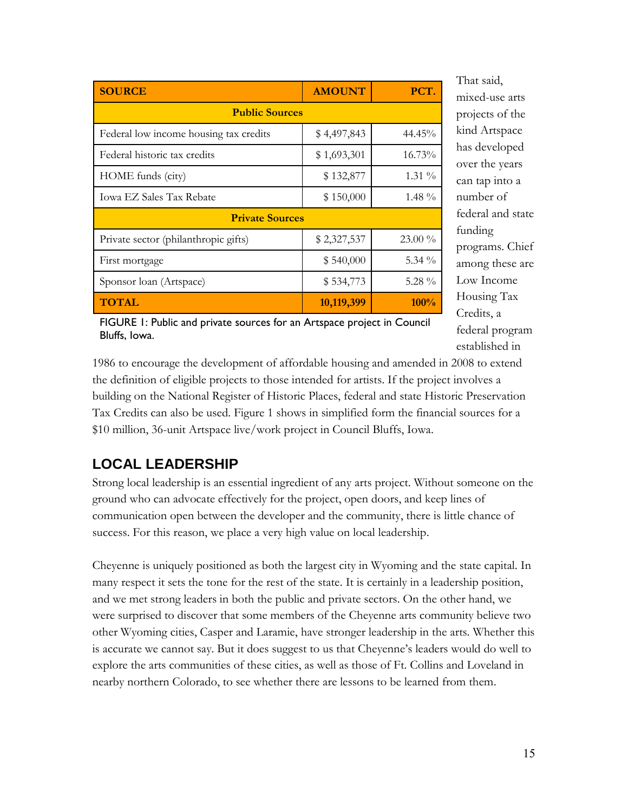| <b>SOURCE</b>                          | <b>AMOUNT</b> | PCT.      |
|----------------------------------------|---------------|-----------|
| <b>Public Sources</b>                  |               |           |
| Federal low income housing tax credits | \$4,497,843   | 44.45%    |
| Federal historic tax credits           | \$1,693,301   | 16.73%    |
| HOME funds (city)                      | \$132,877     | 1.31 %    |
| <b>Iowa EZ Sales Tax Rebate</b>        | \$150,000     | $1.48\%$  |
| <b>Private Sources</b>                 |               |           |
| Private sector (philanthropic gifts)   | \$2,327,537   | $23.00\%$ |
| First mortgage                         | \$540,000     | 5.34 $\%$ |
| Sponsor loan (Artspace)                | \$534,773     | 5.28 $\%$ |
| <b>TOTAL</b>                           | 10,119,399    | $100\%$   |

mixed-use arts projects of the kind Artspace has developed over the years can tap into a number of federal and state funding programs. Chief among these are Low Income Housing Tax Credits, a federal program established in

That said,

FIGURE 1: Public and private sources for an Artspace project in Council Bluffs, Iowa.

1986 to encourage the development of affordable housing and amended in 2008 to extend the definition of eligible projects to those intended for artists. If the project involves a building on the National Register of Historic Places, federal and state Historic Preservation Tax Credits can also be used. Figure 1 shows in simplified form the financial sources for a \$10 million, 36-unit Artspace live/work project in Council Bluffs, Iowa.

# **LOCAL LEADERSHIP**

Strong local leadership is an essential ingredient of any arts project. Without someone on the ground who can advocate effectively for the project, open doors, and keep lines of communication open between the developer and the community, there is little chance of success. For this reason, we place a very high value on local leadership.

Cheyenne is uniquely positioned as both the largest city in Wyoming and the state capital. In many respect it sets the tone for the rest of the state. It is certainly in a leadership position, and we met strong leaders in both the public and private sectors. On the other hand, we were surprised to discover that some members of the Cheyenne arts community believe two other Wyoming cities, Casper and Laramie, have stronger leadership in the arts. Whether this is accurate we cannot say. But it does suggest to us that Cheyenne's leaders would do well to explore the arts communities of these cities, as well as those of Ft. Collins and Loveland in nearby northern Colorado, to see whether there are lessons to be learned from them.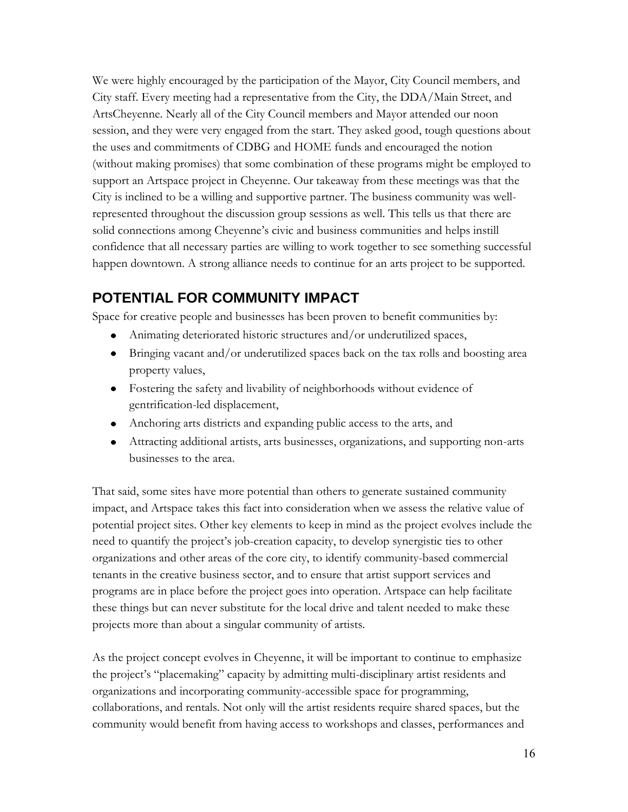We were highly encouraged by the participation of the Mayor, City Council members, and City staff. Every meeting had a representative from the City, the DDA/Main Street, and ArtsCheyenne. Nearly all of the City Council members and Mayor attended our noon session, and they were very engaged from the start. They asked good, tough questions about the uses and commitments of CDBG and HOME funds and encouraged the notion (without making promises) that some combination of these programs might be employed to support an Artspace project in Cheyenne. Our takeaway from these meetings was that the City is inclined to be a willing and supportive partner. The business community was wellrepresented throughout the discussion group sessions as well. This tells us that there are solid connections among Cheyenne's civic and business communities and helps instill confidence that all necessary parties are willing to work together to see something successful happen downtown. A strong alliance needs to continue for an arts project to be supported.

# **POTENTIAL FOR COMMUNITY IMPACT**

Space for creative people and businesses has been proven to benefit communities by:

- Animating deteriorated historic structures and/or underutilized spaces,
- Bringing vacant and/or underutilized spaces back on the tax rolls and boosting area property values,
- Fostering the safety and livability of neighborhoods without evidence of gentrification-led displacement,
- Anchoring arts districts and expanding public access to the arts, and
- Attracting additional artists, arts businesses, organizations, and supporting non-arts businesses to the area.

That said, some sites have more potential than others to generate sustained community impact, and Artspace takes this fact into consideration when we assess the relative value of potential project sites. Other key elements to keep in mind as the project evolves include the need to quantify the project's job-creation capacity, to develop synergistic ties to other organizations and other areas of the core city, to identify community-based commercial tenants in the creative business sector, and to ensure that artist support services and programs are in place before the project goes into operation. Artspace can help facilitate these things but can never substitute for the local drive and talent needed to make these projects more than about a singular community of artists.

As the project concept evolves in Cheyenne, it will be important to continue to emphasize the project's "placemaking" capacity by admitting multi-disciplinary artist residents and organizations and incorporating community-accessible space for programming, collaborations, and rentals. Not only will the artist residents require shared spaces, but the community would benefit from having access to workshops and classes, performances and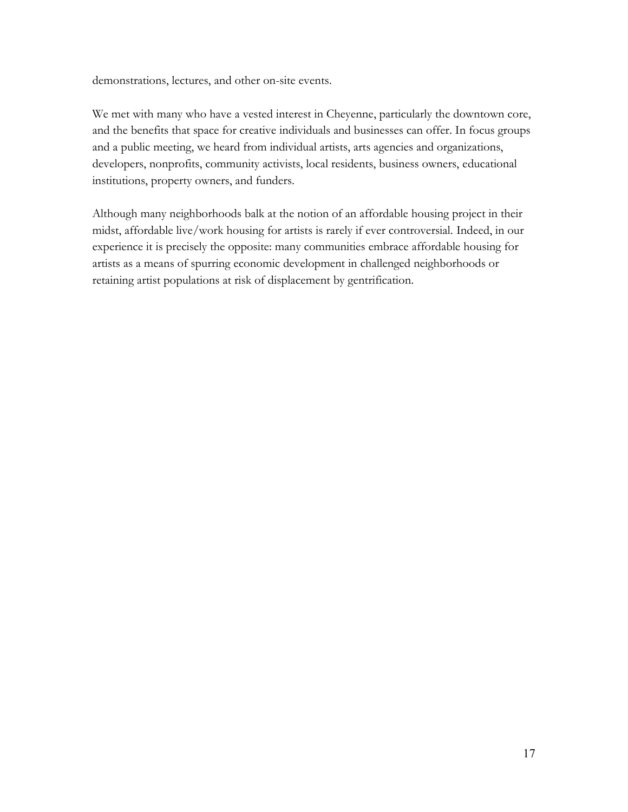demonstrations, lectures, and other on-site events.

We met with many who have a vested interest in Cheyenne, particularly the downtown core, and the benefits that space for creative individuals and businesses can offer. In focus groups and a public meeting, we heard from individual artists, arts agencies and organizations, developers, nonprofits, community activists, local residents, business owners, educational institutions, property owners, and funders.

Although many neighborhoods balk at the notion of an affordable housing project in their midst, affordable live/work housing for artists is rarely if ever controversial. Indeed, in our experience it is precisely the opposite: many communities embrace affordable housing for artists as a means of spurring economic development in challenged neighborhoods or retaining artist populations at risk of displacement by gentrification.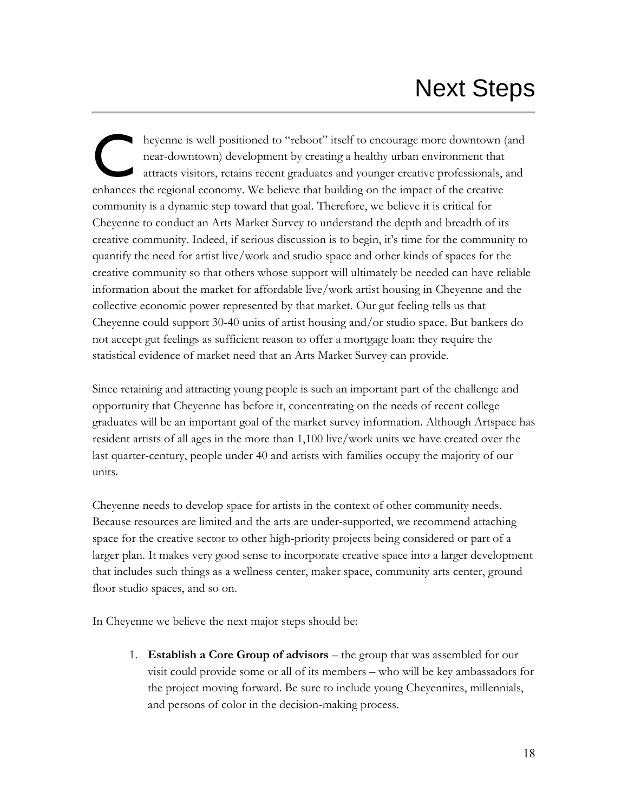# Next Steps

heyenne is well-positioned to "reboot" itself to encourage more downtown (and near-downtown) development by creating a healthy urban environment that attracts visitors, retains recent graduates and younger creative professionals, and enhances the regional economy. We believe that building on the impact of the creative community is a dynamic step toward that goal. Therefore, we believe it is critical for Cheyenne to conduct an Arts Market Survey to understand the depth and breadth of its creative community. Indeed, if serious discussion is to begin, it's time for the community to quantify the need for artist live/work and studio space and other kinds of spaces for the creative community so that others whose support will ultimately be needed can have reliable information about the market for affordable live/work artist housing in Cheyenne and the collective economic power represented by that market. Our gut feeling tells us that Cheyenne could support 30-40 units of artist housing and/or studio space. But bankers do not accept gut feelings as sufficient reason to offer a mortgage loan: they require the statistical evidence of market need that an Arts Market Survey can provide. C

Since retaining and attracting young people is such an important part of the challenge and opportunity that Cheyenne has before it, concentrating on the needs of recent college graduates will be an important goal of the market survey information. Although Artspace has resident artists of all ages in the more than 1,100 live/work units we have created over the last quarter-century, people under 40 and artists with families occupy the majority of our units.

Cheyenne needs to develop space for artists in the context of other community needs. Because resources are limited and the arts are under-supported, we recommend attaching space for the creative sector to other high-priority projects being considered or part of a larger plan. It makes very good sense to incorporate creative space into a larger development that includes such things as a wellness center, maker space, community arts center, ground floor studio spaces, and so on.

In Cheyenne we believe the next major steps should be:

1. **Establish a Core Group of advisors** – the group that was assembled for our visit could provide some or all of its members – who will be key ambassadors for the project moving forward. Be sure to include young Cheyennites, millennials, and persons of color in the decision-making process.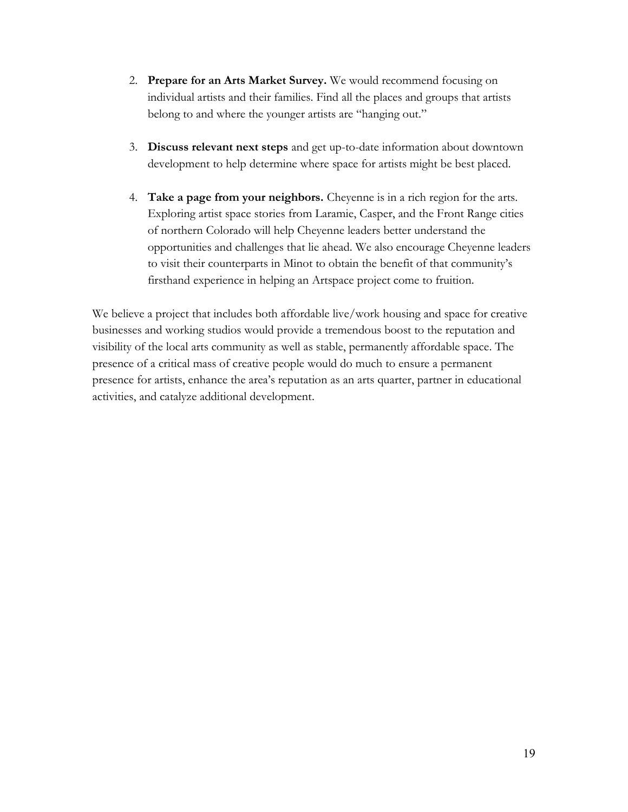- 2. **Prepare for an Arts Market Survey.** We would recommend focusing on individual artists and their families. Find all the places and groups that artists belong to and where the younger artists are "hanging out."
- 3. **Discuss relevant next steps** and get up-to-date information about downtown development to help determine where space for artists might be best placed.
- 4. **Take a page from your neighbors.** Cheyenne is in a rich region for the arts. Exploring artist space stories from Laramie, Casper, and the Front Range cities of northern Colorado will help Cheyenne leaders better understand the opportunities and challenges that lie ahead. We also encourage Cheyenne leaders to visit their counterparts in Minot to obtain the benefit of that community's firsthand experience in helping an Artspace project come to fruition.

We believe a project that includes both affordable live/work housing and space for creative businesses and working studios would provide a tremendous boost to the reputation and visibility of the local arts community as well as stable, permanently affordable space. The presence of a critical mass of creative people would do much to ensure a permanent presence for artists, enhance the area's reputation as an arts quarter, partner in educational activities, and catalyze additional development.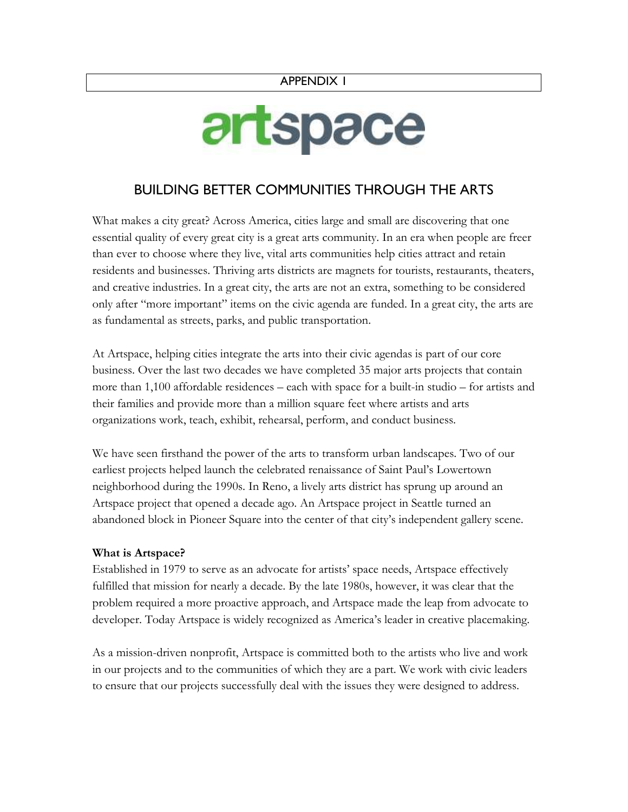#### APPENDIX 1

# artspace

# BUILDING BETTER COMMUNITIES THROUGH THE ARTS

What makes a city great? Across America, cities large and small are discovering that one essential quality of every great city is a great arts community. In an era when people are freer than ever to choose where they live, vital arts communities help cities attract and retain residents and businesses. Thriving arts districts are magnets for tourists, restaurants, theaters, and creative industries. In a great city, the arts are not an extra, something to be considered only after "more important" items on the civic agenda are funded. In a great city, the arts are as fundamental as streets, parks, and public transportation.

At Artspace, helping cities integrate the arts into their civic agendas is part of our core business. Over the last two decades we have completed 35 major arts projects that contain more than 1,100 affordable residences – each with space for a built-in studio – for artists and their families and provide more than a million square feet where artists and arts organizations work, teach, exhibit, rehearsal, perform, and conduct business.

We have seen firsthand the power of the arts to transform urban landscapes. Two of our earliest projects helped launch the celebrated renaissance of Saint Paul's Lowertown neighborhood during the 1990s. In Reno, a lively arts district has sprung up around an Artspace project that opened a decade ago. An Artspace project in Seattle turned an abandoned block in Pioneer Square into the center of that city's independent gallery scene.

#### **What is Artspace?**

Established in 1979 to serve as an advocate for artists' space needs, Artspace effectively fulfilled that mission for nearly a decade. By the late 1980s, however, it was clear that the problem required a more proactive approach, and Artspace made the leap from advocate to developer. Today Artspace is widely recognized as America's leader in creative placemaking.

As a mission-driven nonprofit, Artspace is committed both to the artists who live and work in our projects and to the communities of which they are a part. We work with civic leaders to ensure that our projects successfully deal with the issues they were designed to address.